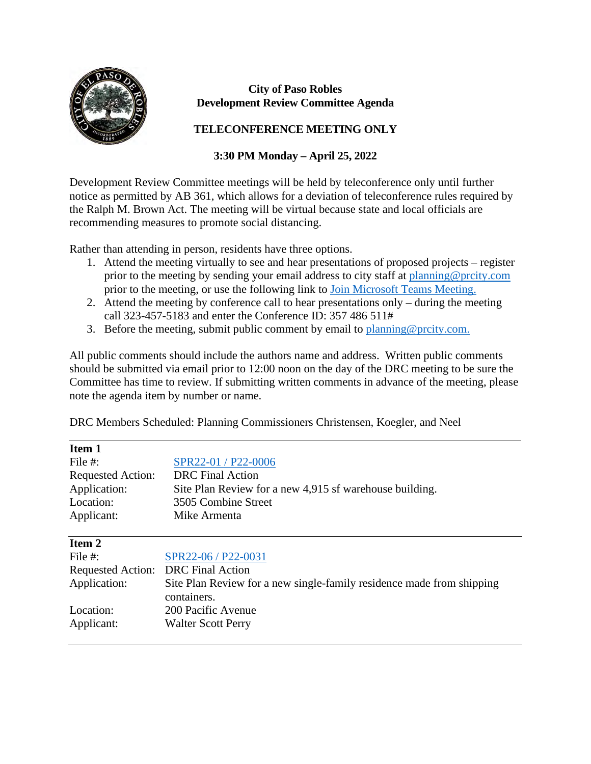

 $\overline{a}$ 

## **City of Paso Robles Development Review Committee Agenda**

## **TELECONFERENCE MEETING ONLY**

## **3:30 PM Monday – April 25, 2022**

Development Review Committee meetings will be held by teleconference only until further notice as permitted by AB 361, which allows for a deviation of teleconference rules required by the Ralph M. Brown Act. The meeting will be virtual because state and local officials are recommending measures to promote social distancing.

Rather than attending in person, residents have three options.

- 1. Attend the meeting virtually to see and hear presentations of proposed projects register prior to the meeting by sending your email address to city staff at [planning@prcity.com](mailto:planning@prcity.com) prior to the meeting, or use the following link to [Join Microsoft Teams Meeting.](https://teams.microsoft.com/l/meetup-join/19%3ameeting_NzIyYmU2MWMtOTlkMS00ZjEzLTg4ODQtMWRhNGNiMDMwZDRh%40thread.v2/0?context=%7b%22Tid%22%3a%221a5b5698-d524-42f2-abba-fb4615f7b1d6%22%2c%22Oid%22%3a%2266ba4e2a-3671-4e72-9d7a-eef3135a0aef%22%7d)
- 2. Attend the meeting by conference call to hear presentations only during the meeting call 323-457-5183 and enter the Conference ID: 357 486 511#
- 3. Before the meeting, submit public comment by email to planning @prcity.com.

All public comments should include the authors name and address. Written public comments should be submitted via email prior to 12:00 noon on the day of the DRC meeting to be sure the Committee has time to review. If submitting written comments in advance of the meeting, please note the agenda item by number or name.

DRC Members Scheduled: Planning Commissioners Christensen, Koegler, and Neel

| Item 1                   |                                                                                      |
|--------------------------|--------------------------------------------------------------------------------------|
| File #:                  | SPR22-01 / P22-0006                                                                  |
| <b>Requested Action:</b> | <b>DRC</b> Final Action                                                              |
| Application:             | Site Plan Review for a new 4,915 sf warehouse building.                              |
| Location:                | 3505 Combine Street                                                                  |
| Applicant:               | Mike Armenta                                                                         |
| Item 2                   |                                                                                      |
| File $#$ :               | SPR22-06 / P22-0031                                                                  |
| <b>Requested Action:</b> | <b>DRC</b> Final Action                                                              |
| Application:             | Site Plan Review for a new single-family residence made from shipping<br>containers. |
| Location:                | 200 Pacific Avenue                                                                   |
| Applicant:               | <b>Walter Scott Perry</b>                                                            |
|                          |                                                                                      |